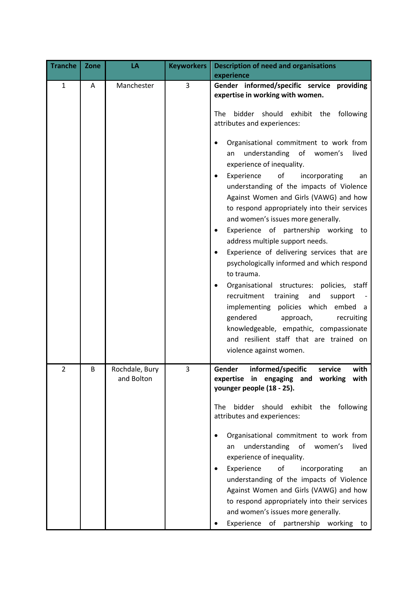| <b>Tranche</b> | Zone | LA                           | <b>Keyworkers</b> | <b>Description of need and organisations</b><br>experience                                                                                                                                                                                                                                                                                                                                                                                                                                                                                                                                                                                                                                                                                                                                                                                                                                                                                                                                            |
|----------------|------|------------------------------|-------------------|-------------------------------------------------------------------------------------------------------------------------------------------------------------------------------------------------------------------------------------------------------------------------------------------------------------------------------------------------------------------------------------------------------------------------------------------------------------------------------------------------------------------------------------------------------------------------------------------------------------------------------------------------------------------------------------------------------------------------------------------------------------------------------------------------------------------------------------------------------------------------------------------------------------------------------------------------------------------------------------------------------|
| $\mathbf{1}$   | A    | Manchester                   | 3                 | Gender informed/specific service providing<br>expertise in working with women.<br>bidder<br><b>The</b><br>should<br>exhibit the<br>following<br>attributes and experiences:<br>Organisational commitment to work from<br>understanding of women's<br>lived<br>an<br>experience of inequality.<br>of<br>Experience<br>incorporating<br>an<br>understanding of the impacts of Violence<br>Against Women and Girls (VAWG) and how<br>to respond appropriately into their services<br>and women's issues more generally.<br>Experience of partnership working to<br>address multiple support needs.<br>Experience of delivering services that are<br>psychologically informed and which respond<br>to trauma.<br>Organisational structures: policies, staff<br>recruitment<br>training<br>and<br>support<br>policies which embed a<br>implementing<br>gendered<br>approach,<br>recruiting<br>knowledgeable, empathic, compassionate<br>and resilient staff that are trained on<br>violence against women. |
| $\overline{2}$ | B    | Rochdale, Bury<br>and Bolton | 3                 | Gender<br>informed/specific<br>service<br>with<br>expertise in engaging and working<br>with<br>younger people (18 - 25).<br>exhibit the<br><b>The</b><br>bidder<br>should<br>following<br>attributes and experiences:<br>Organisational commitment to work from<br>understanding<br>of<br>women's<br>lived<br>an<br>experience of inequality.<br>Experience<br>of<br>incorporating<br>an<br>understanding of the impacts of Violence<br>Against Women and Girls (VAWG) and how<br>to respond appropriately into their services<br>and women's issues more generally.<br>Experience of partnership working to                                                                                                                                                                                                                                                                                                                                                                                          |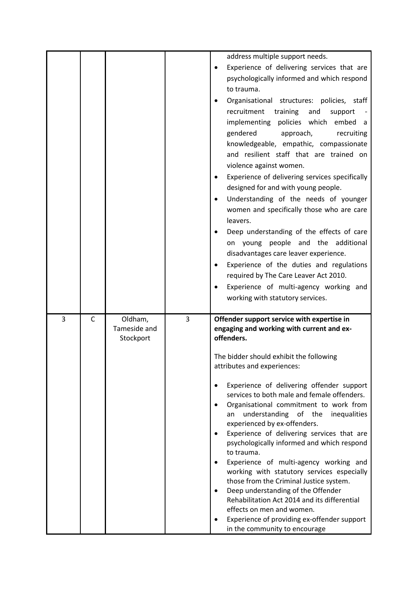|   |   |                                      |   | address multiple support needs.<br>Experience of delivering services that are<br>$\bullet$<br>psychologically informed and which respond<br>to trauma.<br>Organisational structures: policies, staff<br>recruitment<br>training<br>and<br>support<br>implementing policies which embed a<br>gendered<br>approach,<br>recruiting<br>knowledgeable, empathic, compassionate<br>and resilient staff that are trained on<br>violence against women.<br>Experience of delivering services specifically<br>designed for and with young people.<br>Understanding of the needs of younger<br>women and specifically those who are care<br>leavers.<br>Deep understanding of the effects of care<br>on young people and the additional<br>disadvantages care leaver experience.<br>Experience of the duties and regulations<br>required by The Care Leaver Act 2010.<br>Experience of multi-agency working and<br>working with statutory services. |
|---|---|--------------------------------------|---|-------------------------------------------------------------------------------------------------------------------------------------------------------------------------------------------------------------------------------------------------------------------------------------------------------------------------------------------------------------------------------------------------------------------------------------------------------------------------------------------------------------------------------------------------------------------------------------------------------------------------------------------------------------------------------------------------------------------------------------------------------------------------------------------------------------------------------------------------------------------------------------------------------------------------------------------|
| 3 | C | Oldham,<br>Tameside and<br>Stockport | 3 | Offender support service with expertise in<br>engaging and working with current and ex-<br>offenders.<br>The bidder should exhibit the following<br>attributes and experiences:<br>Experience of delivering offender support<br>services to both male and female offenders.<br>Organisational commitment to work from<br>understanding of the<br>inequalities<br>an<br>experienced by ex-offenders.<br>Experience of delivering services that are<br>psychologically informed and which respond<br>to trauma.<br>Experience of multi-agency working and<br>working with statutory services especially<br>those from the Criminal Justice system.<br>Deep understanding of the Offender<br>Rehabilitation Act 2014 and its differential<br>effects on men and women.<br>Experience of providing ex-offender support<br>in the community to encourage                                                                                       |